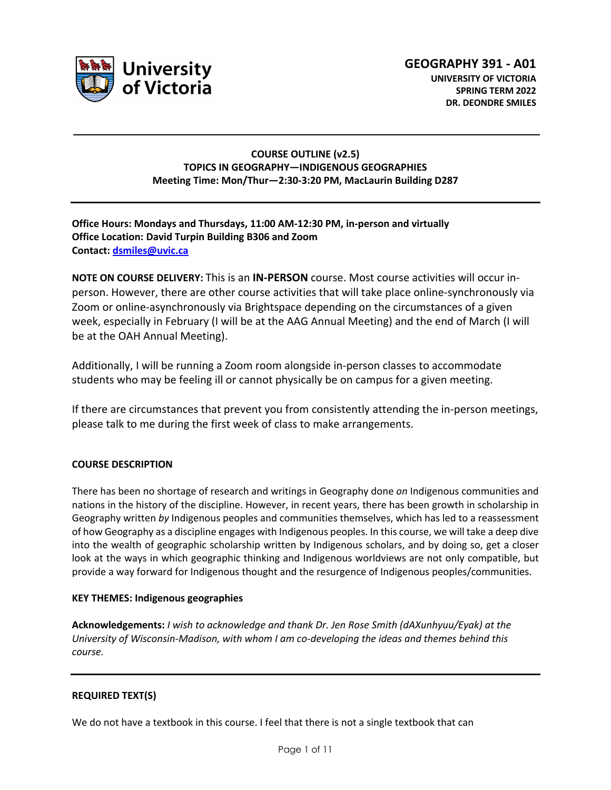

## **COURSE OUTLINE (v2.5) TOPICS IN GEOGRAPHY—INDIGENOUS GEOGRAPHIES Meeting Time: Mon/Thur—2:30-3:20 PM, MacLaurin Building D287**

## **Office Hours: Mondays and Thursdays, 11:00 AM-12:30 PM, in-person and virtually Office Location: David Turpin Building B306 and Zoom Contact: dsmiles@uvic.ca**

**NOTE ON COURSE DELIVERY:** This is an **IN-PERSON** course. Most course activities will occur inperson. However, there are other course activities that will take place online-synchronously via Zoom or online-asynchronously via Brightspace depending on the circumstances of a given week, especially in February (I will be at the AAG Annual Meeting) and the end of March (I will be at the OAH Annual Meeting).

Additionally, I will be running a Zoom room alongside in-person classes to accommodate students who may be feeling ill or cannot physically be on campus for a given meeting.

If there are circumstances that prevent you from consistently attending the in-person meetings, please talk to me during the first week of class to make arrangements.

# **COURSE DESCRIPTION**

There has been no shortage of research and writings in Geography done *on* Indigenous communities and nations in the history of the discipline. However, in recent years, there has been growth in scholarship in Geography written *by* Indigenous peoples and communities themselves, which has led to a reassessment of how Geography as a discipline engages with Indigenous peoples. In this course, we will take a deep dive into the wealth of geographic scholarship written by Indigenous scholars, and by doing so, get a closer look at the ways in which geographic thinking and Indigenous worldviews are not only compatible, but provide a way forward for Indigenous thought and the resurgence of Indigenous peoples/communities.

## **KEY THEMES: Indigenous geographies**

**Acknowledgements:** *I wish to acknowledge and thank Dr. Jen Rose Smith (dAXunhyuu/Eyak) at the University of Wisconsin-Madison, with whom I am co-developing the ideas and themes behind this course.*

# **REQUIRED TEXT(S)**

We do not have a textbook in this course. I feel that there is not a single textbook that can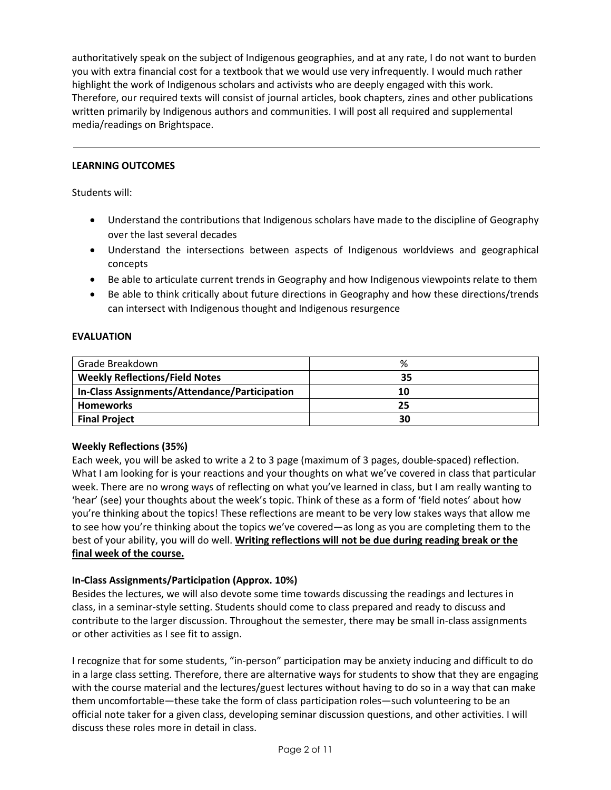authoritatively speak on the subject of Indigenous geographies, and at any rate, I do not want to burden you with extra financial cost for a textbook that we would use very infrequently. I would much rather highlight the work of Indigenous scholars and activists who are deeply engaged with this work. Therefore, our required texts will consist of journal articles, book chapters, zines and other publications written primarily by Indigenous authors and communities. I will post all required and supplemental media/readings on Brightspace.

## **LEARNING OUTCOMES**

Students will:

- Understand the contributions that Indigenous scholars have made to the discipline of Geography over the last several decades
- Understand the intersections between aspects of Indigenous worldviews and geographical concepts
- Be able to articulate current trends in Geography and how Indigenous viewpoints relate to them
- Be able to think critically about future directions in Geography and how these directions/trends can intersect with Indigenous thought and Indigenous resurgence

# **EVALUATION**

| Grade Breakdown                               | %  |
|-----------------------------------------------|----|
| <b>Weekly Reflections/Field Notes</b>         | 35 |
| In-Class Assignments/Attendance/Participation | 10 |
| Homeworks                                     | 25 |
| <b>Final Project</b>                          | 30 |

## **Weekly Reflections (35%)**

Each week, you will be asked to write a 2 to 3 page (maximum of 3 pages, double-spaced) reflection. What I am looking for is your reactions and your thoughts on what we've covered in class that particular week. There are no wrong ways of reflecting on what you've learned in class, but I am really wanting to 'hear' (see) your thoughts about the week's topic. Think of these as a form of 'field notes' about how you're thinking about the topics! These reflections are meant to be very low stakes ways that allow me to see how you're thinking about the topics we've covered—as long as you are completing them to the best of your ability, you will do well. **Writing reflections will not be due during reading break or the final week of the course.**

# **In-Class Assignments/Participation (Approx. 10%)**

Besides the lectures, we will also devote some time towards discussing the readings and lectures in class, in a seminar-style setting. Students should come to class prepared and ready to discuss and contribute to the larger discussion. Throughout the semester, there may be small in-class assignments or other activities as I see fit to assign.

I recognize that for some students, "in-person" participation may be anxiety inducing and difficult to do in a large class setting. Therefore, there are alternative ways for students to show that they are engaging with the course material and the lectures/guest lectures without having to do so in a way that can make them uncomfortable—these take the form of class participation roles—such volunteering to be an official note taker for a given class, developing seminar discussion questions, and other activities. I will discuss these roles more in detail in class.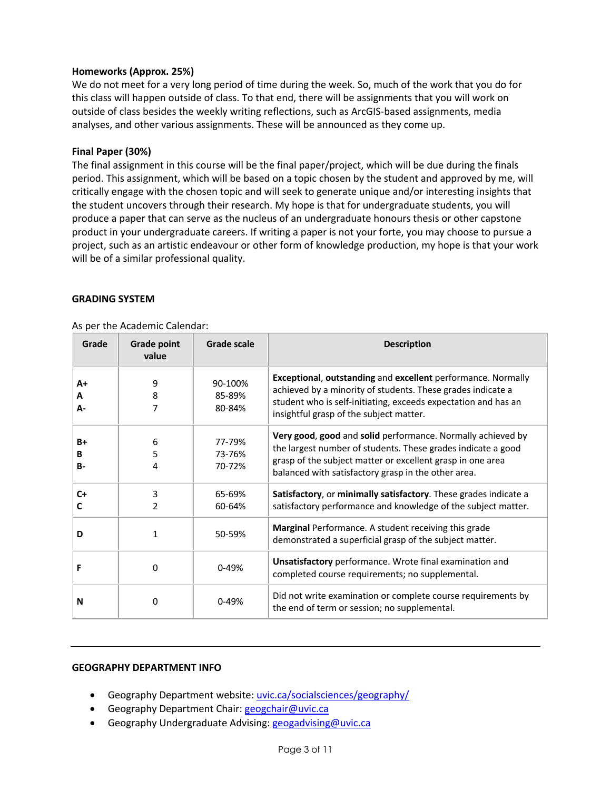# **Homeworks (Approx. 25%)**

We do not meet for a very long period of time during the week. So, much of the work that you do for this class will happen outside of class. To that end, there will be assignments that you will work on outside of class besides the weekly writing reflections, such as ArcGIS-based assignments, media analyses, and other various assignments. These will be announced as they come up.

#### **Final Paper (30%)**

The final assignment in this course will be the final paper/project, which will be due during the finals period. This assignment, which will be based on a topic chosen by the student and approved by me, will critically engage with the chosen topic and will seek to generate unique and/or interesting insights that the student uncovers through their research. My hope is that for undergraduate students, you will produce a paper that can serve as the nucleus of an undergraduate honours thesis or other capstone product in your undergraduate careers. If writing a paper is not your forte, you may choose to pursue a project, such as an artistic endeavour or other form of knowledge production, my hope is that your work will be of a similar professional quality.

#### **GRADING SYSTEM**

| Grade                  | <b>Grade point</b><br>value | Grade scale                 | <b>Description</b>                                                                                                                                                                                                                               |
|------------------------|-----------------------------|-----------------------------|--------------------------------------------------------------------------------------------------------------------------------------------------------------------------------------------------------------------------------------------------|
| A+<br>A<br>А-          | 9<br>8                      | 90-100%<br>85-89%<br>80-84% | Exceptional, outstanding and excellent performance. Normally<br>achieved by a minority of students. These grades indicate a<br>student who is self-initiating, exceeds expectation and has an<br>insightful grasp of the subject matter.         |
| $B+$<br>B<br><b>B-</b> | 6<br>5<br>4                 | 77-79%<br>73-76%<br>70-72%  | Very good, good and solid performance. Normally achieved by<br>the largest number of students. These grades indicate a good<br>grasp of the subject matter or excellent grasp in one area<br>balanced with satisfactory grasp in the other area. |
| $C+$                   | 3<br>2                      | 65-69%<br>60-64%            | Satisfactory, or minimally satisfactory. These grades indicate a<br>satisfactory performance and knowledge of the subject matter.                                                                                                                |
| D                      | 1                           | 50-59%                      | Marginal Performance. A student receiving this grade<br>demonstrated a superficial grasp of the subject matter.                                                                                                                                  |
| F                      | 0                           | $0 - 49%$                   | Unsatisfactory performance. Wrote final examination and<br>completed course requirements; no supplemental.                                                                                                                                       |
| N                      | 0                           | 0-49%                       | Did not write examination or complete course requirements by<br>the end of term or session; no supplemental.                                                                                                                                     |

As per the Academic Calendar:

#### **GEOGRAPHY DEPARTMENT INFO**

- Geography Department website: uvic.ca/socialsciences/geography/
- Geography Department Chair: geogchair@uvic.ca
- Geography Undergraduate Advising: geogadvising@uvic.ca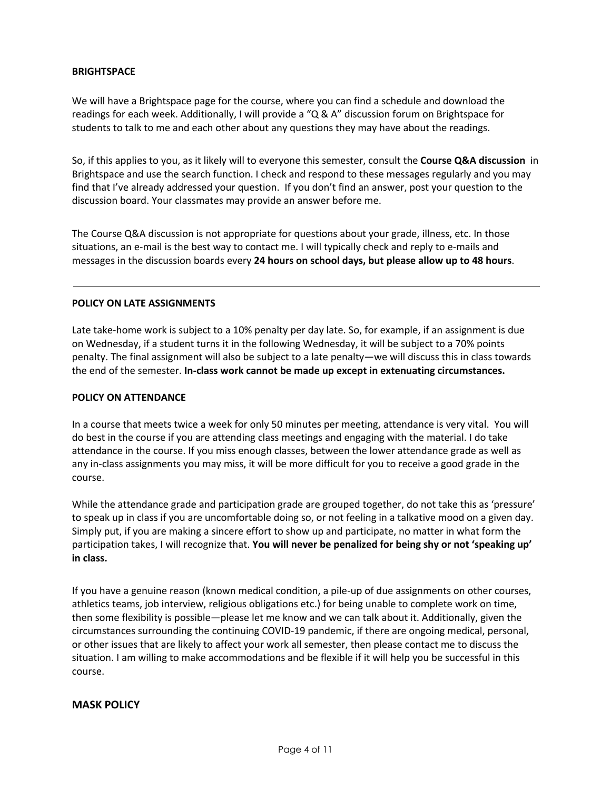#### **BRIGHTSPACE**

We will have a Brightspace page for the course, where you can find a schedule and download the readings for each week. Additionally, I will provide a "Q & A" discussion forum on Brightspace for students to talk to me and each other about any questions they may have about the readings.

So, if this applies to you, as it likely will to everyone this semester, consult the **Course Q&A discussion** in Brightspace and use the search function. I check and respond to these messages regularly and you may find that I've already addressed your question. If you don't find an answer, post your question to the discussion board. Your classmates may provide an answer before me.

The Course Q&A discussion is not appropriate for questions about your grade, illness, etc. In those situations, an e-mail is the best way to contact me. I will typically check and reply to e-mails and messages in the discussion boards every **24 hours on school days, but please allow up to 48 hours**.

#### **POLICY ON LATE ASSIGNMENTS**

Late take-home work is subject to a 10% penalty per day late. So, for example, if an assignment is due on Wednesday, if a student turns it in the following Wednesday, it will be subject to a 70% points penalty. The final assignment will also be subject to a late penalty—we will discuss this in class towards the end of the semester. **In-class work cannot be made up except in extenuating circumstances.**

#### **POLICY ON ATTENDANCE**

In a course that meets twice a week for only 50 minutes per meeting, attendance is very vital. You will do best in the course if you are attending class meetings and engaging with the material. I do take attendance in the course. If you miss enough classes, between the lower attendance grade as well as any in-class assignments you may miss, it will be more difficult for you to receive a good grade in the course.

While the attendance grade and participation grade are grouped together, do not take this as 'pressure' to speak up in class if you are uncomfortable doing so, or not feeling in a talkative mood on a given day. Simply put, if you are making a sincere effort to show up and participate, no matter in what form the participation takes, I will recognize that. **You will never be penalized for being shy or not 'speaking up' in class.**

If you have a genuine reason (known medical condition, a pile-up of due assignments on other courses, athletics teams, job interview, religious obligations etc.) for being unable to complete work on time, then some flexibility is possible—please let me know and we can talk about it. Additionally, given the circumstances surrounding the continuing COVID-19 pandemic, if there are ongoing medical, personal, or other issues that are likely to affect your work all semester, then please contact me to discuss the situation. I am willing to make accommodations and be flexible if it will help you be successful in this course.

## **MASK POLICY**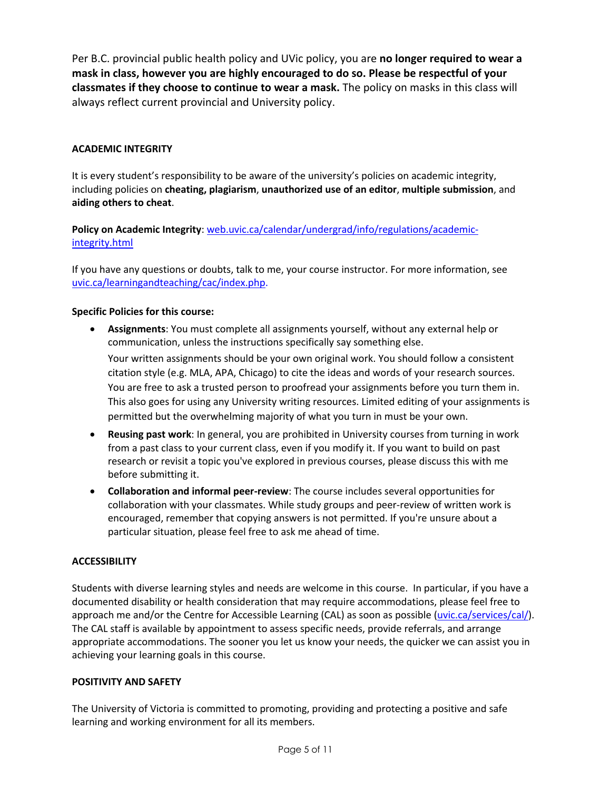Per B.C. provincial public health policy and UVic policy, you are **no longer required to wear a mask in class, however you are highly encouraged to do so. Please be respectful of your classmates if they choose to continue to wear a mask.** The policy on masks in this class will always reflect current provincial and University policy.

# **ACADEMIC INTEGRITY**

It is every student's responsibility to be aware of the university's policies on academic integrity, including policies on **cheating, plagiarism**, **unauthorized use of an editor**, **multiple submission**, and **aiding others to cheat**.

**Policy on Academic Integrity**: web.uvic.ca/calendar/undergrad/info/regulations/academicintegrity.html

If you have any questions or doubts, talk to me, your course instructor. For more information, see uvic.ca/learningandteaching/cac/index.php.

## **Specific Policies for this course:**

- **Assignments**: You must complete all assignments yourself, without any external help or communication, unless the instructions specifically say something else. Your written assignments should be your own original work. You should follow a consistent citation style (e.g. MLA, APA, Chicago) to cite the ideas and words of your research sources. You are free to ask a trusted person to proofread your assignments before you turn them in. This also goes for using any University writing resources. Limited editing of your assignments is permitted but the overwhelming majority of what you turn in must be your own.
- **Reusing past work**: In general, you are prohibited in University courses from turning in work from a past class to your current class, even if you modify it. If you want to build on past research or revisit a topic you've explored in previous courses, please discuss this with me before submitting it.
- **Collaboration and informal peer-review**: The course includes several opportunities for collaboration with your classmates. While study groups and peer-review of written work is encouraged, remember that copying answers is not permitted. If you're unsure about a particular situation, please feel free to ask me ahead of time.

## **ACCESSIBILITY**

Students with diverse learning styles and needs are welcome in this course. In particular, if you have a documented disability or health consideration that may require accommodations, please feel free to approach me and/or the Centre for Accessible Learning (CAL) as soon as possible (uvic.ca/services/cal/). The CAL staff is available by appointment to assess specific needs, provide referrals, and arrange appropriate accommodations. The sooner you let us know your needs, the quicker we can assist you in achieving your learning goals in this course.

## **POSITIVITY AND SAFETY**

The University of Victoria is committed to promoting, providing and protecting a positive and safe learning and working environment for all its members.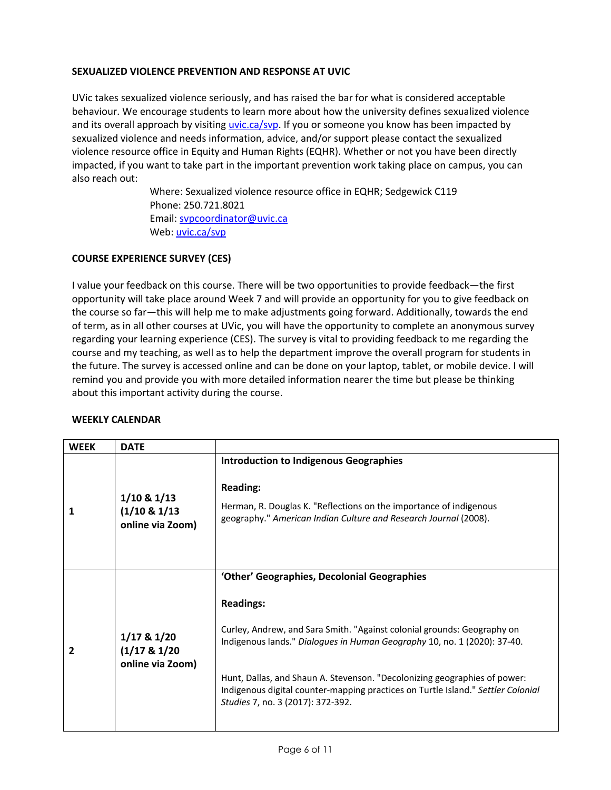## **SEXUALIZED VIOLENCE PREVENTION AND RESPONSE AT UVIC**

UVic takes sexualized violence seriously, and has raised the bar for what is considered acceptable behaviour. We encourage students to learn more about how the university defines sexualized violence and its overall approach by visiting uvic.ca/svp. If you or someone you know has been impacted by sexualized violence and needs information, advice, and/or support please contact the sexualized violence resource office in Equity and Human Rights (EQHR). Whether or not you have been directly impacted, if you want to take part in the important prevention work taking place on campus, you can also reach out:

> Where: Sexualized violence resource office in EQHR; Sedgewick C119 Phone: 250.721.8021 Email: svpcoordinator@uvic.ca Web: uvic.ca/svp

# **COURSE EXPERIENCE SURVEY (CES)**

I value your feedback on this course. There will be two opportunities to provide feedback—the first opportunity will take place around Week 7 and will provide an opportunity for you to give feedback on the course so far—this will help me to make adjustments going forward. Additionally, towards the end of term, as in all other courses at UVic, you will have the opportunity to complete an anonymous survey regarding your learning experience (CES). The survey is vital to providing feedback to me regarding the course and my teaching, as well as to help the department improve the overall program for students in the future. The survey is accessed online and can be done on your laptop, tablet, or mobile device. I will remind you and provide you with more detailed information nearer the time but please be thinking about this important activity during the course.

## **WEEKLY CALENDAR**

| <b>WEEK</b> | <b>DATE</b>                                             |                                                                                                                                                                                                                                                                                                                                                                                                                              |
|-------------|---------------------------------------------------------|------------------------------------------------------------------------------------------------------------------------------------------------------------------------------------------------------------------------------------------------------------------------------------------------------------------------------------------------------------------------------------------------------------------------------|
| 1           | $1/10$ & $1/13$<br>$(1/10 \& 1/13)$<br>online via Zoom) | <b>Introduction to Indigenous Geographies</b><br><b>Reading:</b><br>Herman, R. Douglas K. "Reflections on the importance of indigenous<br>geography." American Indian Culture and Research Journal (2008).                                                                                                                                                                                                                   |
| 2           | $1/17$ & $1/20$<br>(1/17 & 1/20)<br>online via Zoom)    | 'Other' Geographies, Decolonial Geographies<br><b>Readings:</b><br>Curley, Andrew, and Sara Smith. "Against colonial grounds: Geography on<br>Indigenous lands." Dialogues in Human Geography 10, no. 1 (2020): 37-40.<br>Hunt, Dallas, and Shaun A. Stevenson. "Decolonizing geographies of power:<br>Indigenous digital counter-mapping practices on Turtle Island." Settler Colonial<br>Studies 7, no. 3 (2017): 372-392. |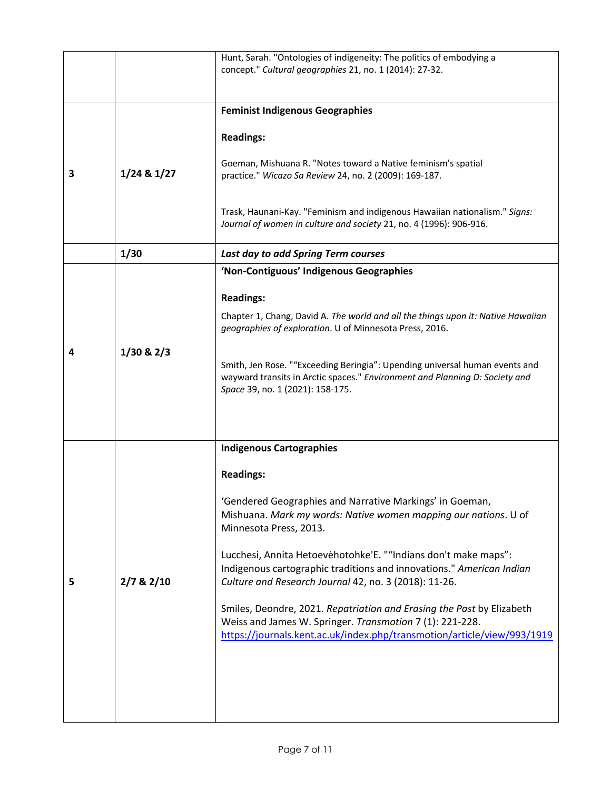|   |                | Hunt, Sarah. "Ontologies of indigeneity: The politics of embodying a                                                                   |
|---|----------------|----------------------------------------------------------------------------------------------------------------------------------------|
|   |                | concept." Cultural geographies 21, no. 1 (2014): 27-32.                                                                                |
|   |                |                                                                                                                                        |
|   |                | <b>Feminist Indigenous Geographies</b>                                                                                                 |
|   |                | <b>Readings:</b>                                                                                                                       |
|   |                |                                                                                                                                        |
| 3 | 1/24 & 1/27    | Goeman, Mishuana R. "Notes toward a Native feminism's spatial<br>practice." Wicazo Sa Review 24, no. 2 (2009): 169-187.                |
|   |                |                                                                                                                                        |
|   |                | Trask, Haunani-Kay. "Feminism and indigenous Hawaiian nationalism." Signs:                                                             |
|   |                | Journal of women in culture and society 21, no. 4 (1996): 906-916.                                                                     |
|   | 1/30           |                                                                                                                                        |
|   |                | Last day to add Spring Term courses<br>'Non-Contiguous' Indigenous Geographies                                                         |
|   |                |                                                                                                                                        |
|   |                | <b>Readings:</b>                                                                                                                       |
|   |                | Chapter 1, Chang, David A. The world and all the things upon it: Native Hawaiian                                                       |
|   |                | geographies of exploration. U of Minnesota Press, 2016.                                                                                |
| 4 | $1/30$ & $2/3$ | Smith, Jen Rose. ""Exceeding Beringia": Upending universal human events and                                                            |
|   |                | wayward transits in Arctic spaces." Environment and Planning D: Society and                                                            |
|   |                | Space 39, no. 1 (2021): 158-175.                                                                                                       |
|   |                |                                                                                                                                        |
|   |                |                                                                                                                                        |
|   |                | <b>Indigenous Cartographies</b>                                                                                                        |
|   |                | <b>Readings:</b>                                                                                                                       |
|   |                |                                                                                                                                        |
|   |                | 'Gendered Geographies and Narrative Markings' in Goeman,<br>Mishuana. Mark my words: Native women mapping our nations. U of            |
|   |                | Minnesota Press, 2013.                                                                                                                 |
|   |                |                                                                                                                                        |
|   |                | Lucchesi, Annita Hetoevehotohke'E. ""Indians don't make maps":<br>Indigenous cartographic traditions and innovations." American Indian |
| 5 | $2/7$ & $2/10$ | Culture and Research Journal 42, no. 3 (2018): 11-26.                                                                                  |
|   |                | Smiles, Deondre, 2021. Repatriation and Erasing the Past by Elizabeth                                                                  |
|   |                | Weiss and James W. Springer. Transmotion 7 (1): 221-228.                                                                               |
|   |                | https://journals.kent.ac.uk/index.php/transmotion/article/view/993/1919                                                                |
|   |                |                                                                                                                                        |
|   |                |                                                                                                                                        |
|   |                |                                                                                                                                        |
|   |                |                                                                                                                                        |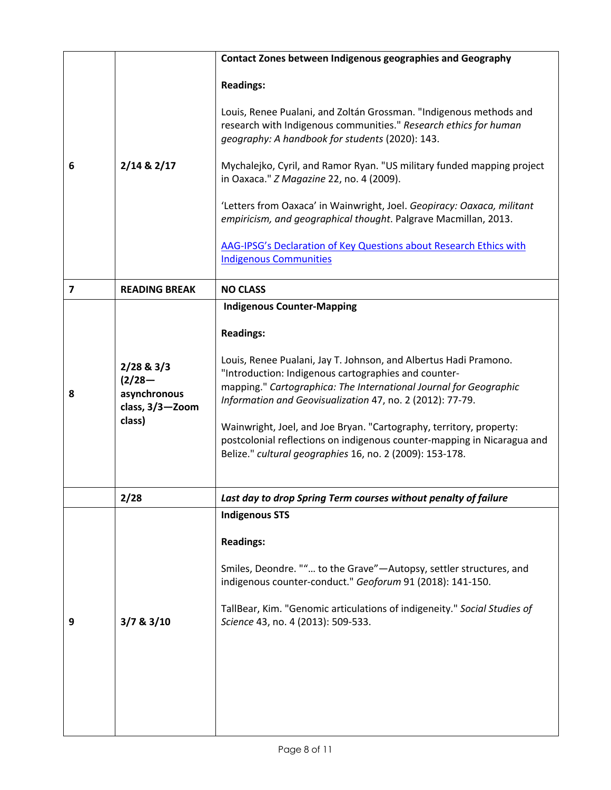|                         |                                                                      | <b>Contact Zones between Indigenous geographies and Geography</b>                                                                                                                                                                                                                                                                                                                                                                                                                                                                                                                       |
|-------------------------|----------------------------------------------------------------------|-----------------------------------------------------------------------------------------------------------------------------------------------------------------------------------------------------------------------------------------------------------------------------------------------------------------------------------------------------------------------------------------------------------------------------------------------------------------------------------------------------------------------------------------------------------------------------------------|
| 6                       | $2/14$ & $2/17$                                                      | <b>Readings:</b><br>Louis, Renee Pualani, and Zoltán Grossman. "Indigenous methods and<br>research with Indigenous communities." Research ethics for human<br>geography: A handbook for students (2020): 143.<br>Mychalejko, Cyril, and Ramor Ryan. "US military funded mapping project<br>in Oaxaca." Z Magazine 22, no. 4 (2009).<br>'Letters from Oaxaca' in Wainwright, Joel. Geopiracy: Oaxaca, militant<br>empiricism, and geographical thought. Palgrave Macmillan, 2013.<br>AAG-IPSG's Declaration of Key Questions about Research Ethics with<br><b>Indigenous Communities</b> |
| $\overline{\mathbf{z}}$ | <b>READING BREAK</b>                                                 | <b>NO CLASS</b>                                                                                                                                                                                                                                                                                                                                                                                                                                                                                                                                                                         |
| 8                       | 2/28 & 3/3<br>$(2/28 -$<br>asynchronous<br>class, 3/3-Zoom<br>class) | <b>Indigenous Counter-Mapping</b><br><b>Readings:</b><br>Louis, Renee Pualani, Jay T. Johnson, and Albertus Hadi Pramono.<br>"Introduction: Indigenous cartographies and counter-<br>mapping." Cartographica: The International Journal for Geographic<br>Information and Geovisualization 47, no. 2 (2012): 77-79.<br>Wainwright, Joel, and Joe Bryan. "Cartography, territory, property:<br>postcolonial reflections on indigenous counter-mapping in Nicaragua and<br>Belize." cultural geographies 16, no. 2 (2009): 153-178.                                                       |
|                         | 2/28                                                                 | Last day to drop Spring Term courses without penalty of failure                                                                                                                                                                                                                                                                                                                                                                                                                                                                                                                         |
| 9                       | $3/7$ & $3/10$                                                       | <b>Indigenous STS</b><br><b>Readings:</b><br>Smiles, Deondre. "" to the Grave"-Autopsy, settler structures, and<br>indigenous counter-conduct." Geoforum 91 (2018): 141-150.<br>TallBear, Kim. "Genomic articulations of indigeneity." Social Studies of<br>Science 43, no. 4 (2013): 509-533.                                                                                                                                                                                                                                                                                          |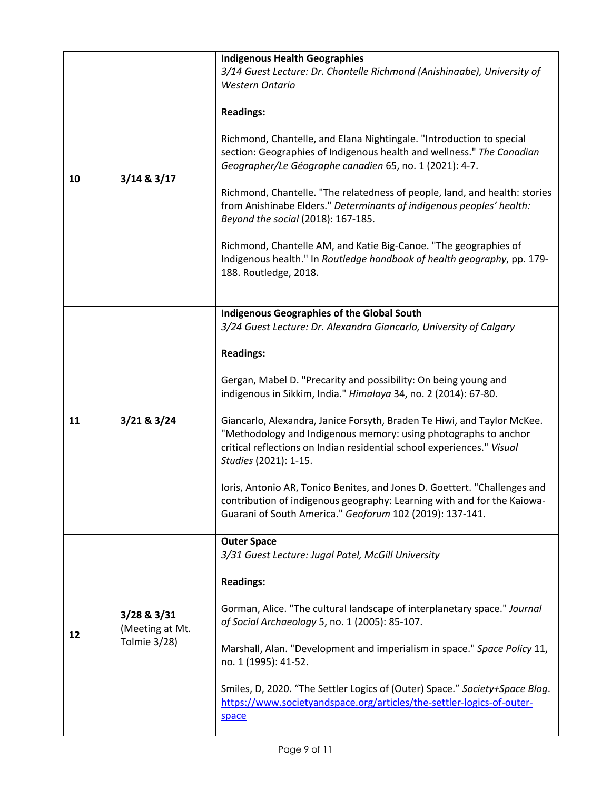| 10 | $3/14$ & $3/17$                                       | <b>Indigenous Health Geographies</b><br>3/14 Guest Lecture: Dr. Chantelle Richmond (Anishinaabe), University of<br><b>Western Ontario</b><br><b>Readings:</b><br>Richmond, Chantelle, and Elana Nightingale. "Introduction to special<br>section: Geographies of Indigenous health and wellness." The Canadian<br>Geographer/Le Géographe canadien 65, no. 1 (2021): 4-7.<br>Richmond, Chantelle. "The relatedness of people, land, and health: stories<br>from Anishinabe Elders." Determinants of indigenous peoples' health:<br>Beyond the social (2018): 167-185.<br>Richmond, Chantelle AM, and Katie Big-Canoe. "The geographies of<br>Indigenous health." In Routledge handbook of health geography, pp. 179-<br>188. Routledge, 2018.          |
|----|-------------------------------------------------------|--------------------------------------------------------------------------------------------------------------------------------------------------------------------------------------------------------------------------------------------------------------------------------------------------------------------------------------------------------------------------------------------------------------------------------------------------------------------------------------------------------------------------------------------------------------------------------------------------------------------------------------------------------------------------------------------------------------------------------------------------------|
| 11 | $3/21$ & $3/24$                                       | <b>Indigenous Geographies of the Global South</b><br>3/24 Guest Lecture: Dr. Alexandra Giancarlo, University of Calgary<br><b>Readings:</b><br>Gergan, Mabel D. "Precarity and possibility: On being young and<br>indigenous in Sikkim, India." Himalaya 34, no. 2 (2014): 67-80.<br>Giancarlo, Alexandra, Janice Forsyth, Braden Te Hiwi, and Taylor McKee.<br>"Methodology and Indigenous memory: using photographs to anchor<br>critical reflections on Indian residential school experiences." Visual<br>Studies (2021): 1-15.<br>Ioris, Antonio AR, Tonico Benites, and Jones D. Goettert. "Challenges and<br>contribution of indigenous geography: Learning with and for the Kaiowa-<br>Guarani of South America." Geoforum 102 (2019): 137-141. |
| 12 | 3/28 & 3/31<br>(Meeting at Mt.<br><b>Tolmie 3/28)</b> | <b>Outer Space</b><br>3/31 Guest Lecture: Jugal Patel, McGill University<br><b>Readings:</b><br>Gorman, Alice. "The cultural landscape of interplanetary space." Journal<br>of Social Archaeology 5, no. 1 (2005): 85-107.<br>Marshall, Alan. "Development and imperialism in space." Space Policy 11,<br>no. 1 (1995): 41-52.<br>Smiles, D, 2020. "The Settler Logics of (Outer) Space." Society+Space Blog.<br>https://www.societyandspace.org/articles/the-settler-logics-of-outer-<br>space                                                                                                                                                                                                                                                        |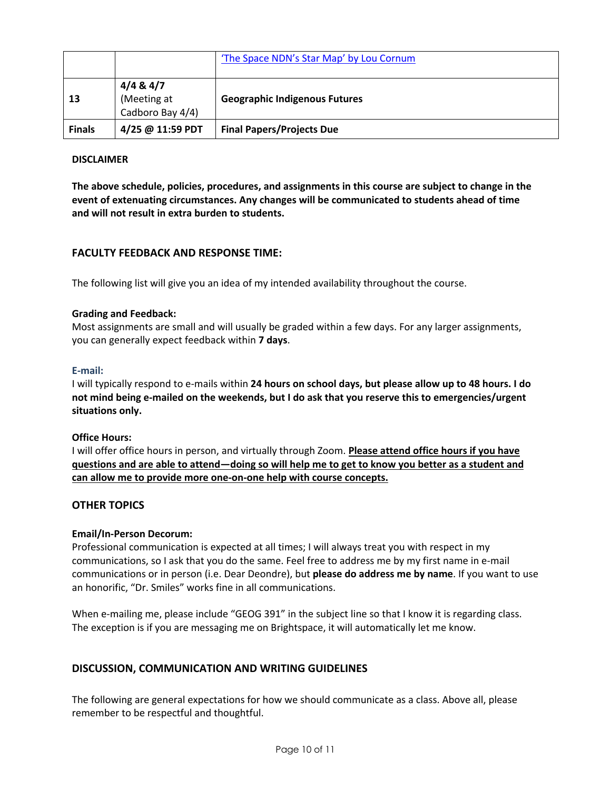|               |                                             | 'The Space NDN's Star Map' by Lou Cornum |
|---------------|---------------------------------------------|------------------------------------------|
| 13            | 4/48.4/7<br>(Meeting at<br>Cadboro Bay 4/4) | <b>Geographic Indigenous Futures</b>     |
| <b>Finals</b> | 4/25 @ 11:59 PDT                            | <b>Final Papers/Projects Due</b>         |

#### **DISCLAIMER**

**The above schedule, policies, procedures, and assignments in this course are subject to change in the event of extenuating circumstances. Any changes will be communicated to students ahead of time and will not result in extra burden to students.**

# **FACULTY FEEDBACK AND RESPONSE TIME:**

The following list will give you an idea of my intended availability throughout the course.

## **Grading and Feedback:**

Most assignments are small and will usually be graded within a few days. For any larger assignments, you can generally expect feedback within **7 days**.

#### **E-mail:**

I will typically respond to e-mails within **24 hours on school days, but please allow up to 48 hours. I do not mind being e-mailed on the weekends, but I do ask that you reserve this to emergencies/urgent situations only.**

## **Office Hours:**

I will offer office hours in person, and virtually through Zoom. **Please attend office hours if you have questions and are able to attend—doing so will help me to get to know you better as a student and can allow me to provide more one-on-one help with course concepts.**

## **OTHER TOPICS**

## **Email/In-Person Decorum:**

Professional communication is expected at all times; I will always treat you with respect in my communications, so I ask that you do the same. Feel free to address me by my first name in e-mail communications or in person (i.e. Dear Deondre), but **please do address me by name**. If you want to use an honorific, "Dr. Smiles" works fine in all communications.

When e-mailing me, please include "GEOG 391" in the subject line so that I know it is regarding class. The exception is if you are messaging me on Brightspace, it will automatically let me know.

## **DISCUSSION, COMMUNICATION AND WRITING GUIDELINES**

The following are general expectations for how we should communicate as a class. Above all, please remember to be respectful and thoughtful.